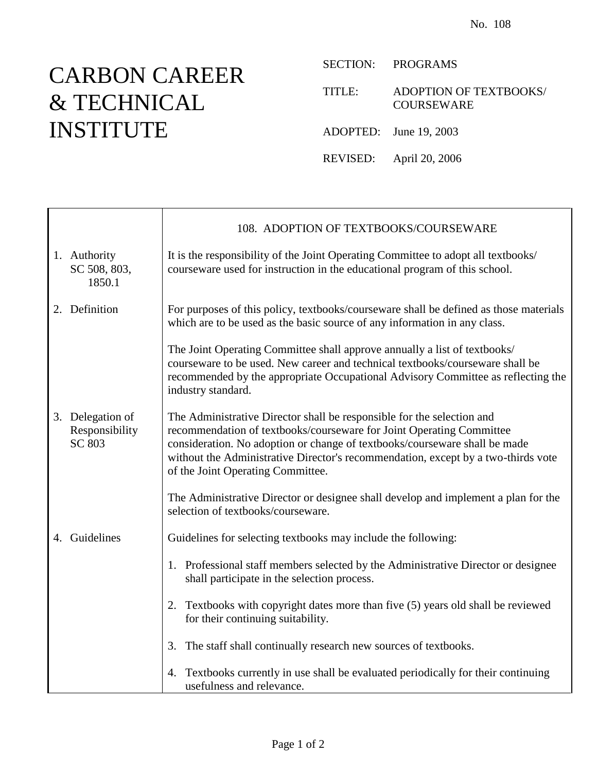## CARBON CAREER & TECHNICAL INSTITUTE

SECTION: PROGRAMS

TITLE: ADOPTION OF TEXTBOOKS/ COURSEWARE

ADOPTED: June 19, 2003

REVISED: April 20, 2006

|                                                     | 108. ADOPTION OF TEXTBOOKS/COURSEWARE                                                                                                                                                                                                                                                                                                                  |
|-----------------------------------------------------|--------------------------------------------------------------------------------------------------------------------------------------------------------------------------------------------------------------------------------------------------------------------------------------------------------------------------------------------------------|
| 1. Authority<br>SC 508, 803,<br>1850.1              | It is the responsibility of the Joint Operating Committee to adopt all textbooks/<br>courseware used for instruction in the educational program of this school.                                                                                                                                                                                        |
| 2. Definition                                       | For purposes of this policy, textbooks/courseware shall be defined as those materials<br>which are to be used as the basic source of any information in any class.                                                                                                                                                                                     |
|                                                     | The Joint Operating Committee shall approve annually a list of textbooks/<br>courseware to be used. New career and technical textbooks/courseware shall be<br>recommended by the appropriate Occupational Advisory Committee as reflecting the<br>industry standard.                                                                                   |
| 3. Delegation of<br>Responsibility<br><b>SC 803</b> | The Administrative Director shall be responsible for the selection and<br>recommendation of textbooks/courseware for Joint Operating Committee<br>consideration. No adoption or change of textbooks/courseware shall be made<br>without the Administrative Director's recommendation, except by a two-thirds vote<br>of the Joint Operating Committee. |
|                                                     | The Administrative Director or designee shall develop and implement a plan for the<br>selection of textbooks/courseware.                                                                                                                                                                                                                               |
| 4. Guidelines                                       | Guidelines for selecting textbooks may include the following:                                                                                                                                                                                                                                                                                          |
|                                                     | 1. Professional staff members selected by the Administrative Director or designee<br>shall participate in the selection process.                                                                                                                                                                                                                       |
|                                                     | Textbooks with copyright dates more than five (5) years old shall be reviewed<br>2.<br>for their continuing suitability.                                                                                                                                                                                                                               |
|                                                     | The staff shall continually research new sources of textbooks.<br>3.                                                                                                                                                                                                                                                                                   |
|                                                     | Textbooks currently in use shall be evaluated periodically for their continuing<br>4.<br>usefulness and relevance.                                                                                                                                                                                                                                     |